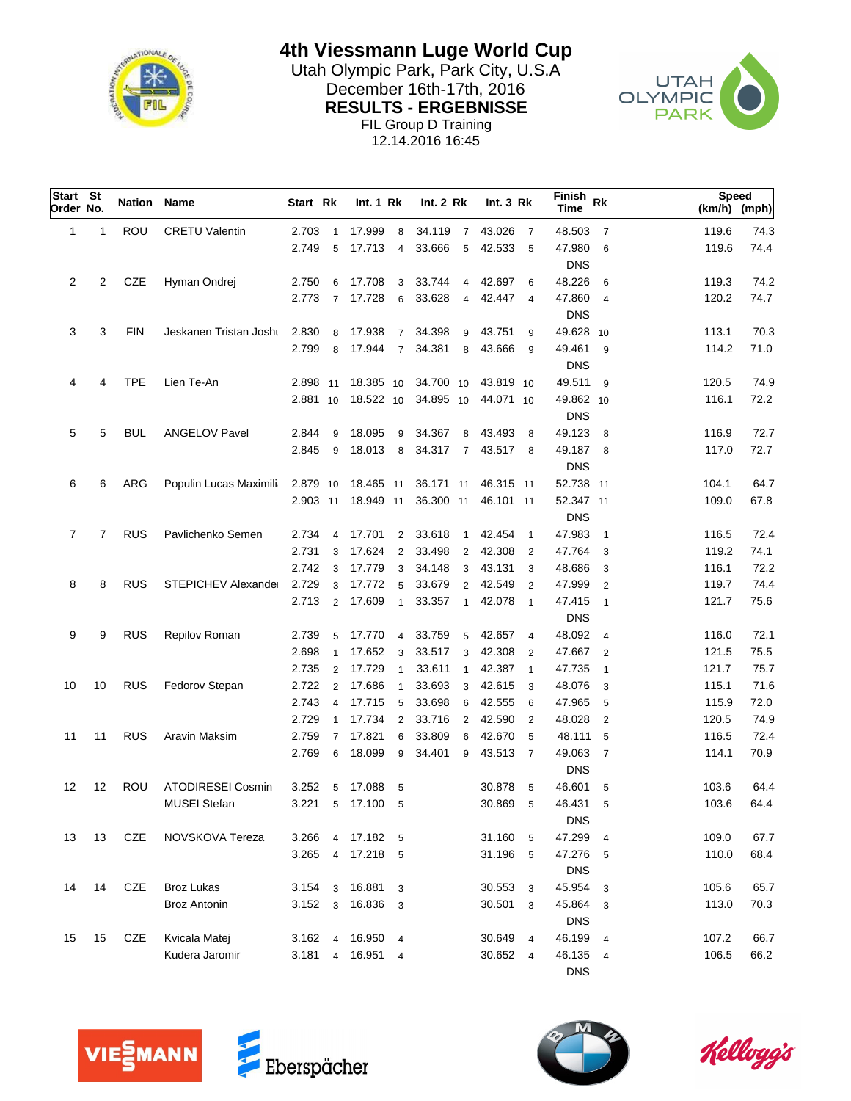

**4th Viessmann Luge World Cup**

Utah Olympic Park, Park City, U.S.A<br>
Desember 16th 17th, 2016 December 16th-17th, 2016<br>
DECULTS FROEDWOOF **RESULTS - ERGEBNISSE** FIL Group D Training 12.14.2016 16:45



| Start St<br>Order No. |    | <b>Nation Name</b> |                            | Start Rk  |                | Int.1 Rk         |                | Int. 2 Rk |                | Int.3 Rk  |                | Finish<br><b>Time</b> | Rk             | <b>Speed</b><br>(km/h) (mph) |      |
|-----------------------|----|--------------------|----------------------------|-----------|----------------|------------------|----------------|-----------|----------------|-----------|----------------|-----------------------|----------------|------------------------------|------|
| 1                     | 1  | ROU                | <b>CRETU Valentin</b>      | 2.703     | $\mathbf{1}$   | 17.999           | 8              | 34.119    | $\overline{7}$ | 43.026    | $\overline{7}$ | 48.503                | $\overline{7}$ | 119.6                        | 74.3 |
|                       |    |                    |                            | 2.749     | 5              | 17.713           | $\overline{4}$ | 33.666    | 5              | 42.533    | - 5            | 47.980                | 6              | 119.6                        | 74.4 |
|                       |    |                    |                            |           |                |                  |                |           |                |           |                | <b>DNS</b>            |                |                              |      |
| $\overline{2}$        | 2  | <b>CZE</b>         | Hyman Ondrej               | 2.750     | 6              | 17.708           | 3              | 33.744    | $\overline{4}$ | 42.697    | 6              | 48.226                | 6              | 119.3                        | 74.2 |
|                       |    |                    |                            | 2.773     | $\overline{7}$ | 17.728           | 6              | 33.628    | $\overline{4}$ | 42.447    | $\overline{4}$ | 47.860                | $\overline{4}$ | 120.2                        | 74.7 |
|                       |    |                    |                            |           |                |                  |                |           |                |           |                | <b>DNS</b>            |                |                              |      |
| 3                     | 3  | <b>FIN</b>         | Jeskanen Tristan Josht     | 2.830     | 8              | 17.938           | $7^{\circ}$    | 34.398    | 9              | 43.751    | 9              | 49.628 10             |                | 113.1                        | 70.3 |
|                       |    |                    |                            | 2.799     | 8              | 17.944           | $\overline{7}$ | 34.381    | 8              | 43.666    | 9              | 49.461                | 9              | 114.2                        | 71.0 |
|                       |    |                    |                            |           |                |                  |                |           |                |           |                | <b>DNS</b>            |                |                              |      |
| 4                     | 4  | <b>TPE</b>         | Lien Te-An                 | 2.898 11  |                | 18.385 10        |                | 34.700 10 |                | 43.819 10 |                | 49.511 9              |                | 120.5                        | 74.9 |
|                       |    |                    |                            | 2.881 10  |                | 18.522 10        |                | 34.895 10 |                | 44.071 10 |                | 49.862 10             |                | 116.1                        | 72.2 |
|                       |    |                    |                            |           |                |                  |                |           |                |           |                | <b>DNS</b>            |                |                              |      |
| 5                     | 5  | BUL                | <b>ANGELOV Pavel</b>       | 2.844     | 9              | 18.095           | 9              | 34.367    | 8              | 43.493    | -8             | 49.123                | - 8            | 116.9                        | 72.7 |
|                       |    |                    |                            | 2.845     | 9              | 18.013           | 8              | 34.317    | $\overline{7}$ | 43.517    | - 8            | 49.187 8              |                | 117.0                        | 72.7 |
|                       |    |                    |                            |           |                |                  |                |           |                |           |                | <b>DNS</b>            |                |                              |      |
| 6                     | 6  | ARG                | Populin Lucas Maximili     | 2.879 10  |                | 18.465 11        |                | 36.171 11 |                | 46.315 11 |                | 52.738 11             |                | 104.1                        | 64.7 |
|                       |    |                    |                            | 2.903 11  |                | 18.949 11        |                | 36.300 11 |                | 46.101 11 |                | 52.347 11             |                | 109.0                        | 67.8 |
|                       |    |                    |                            |           |                |                  |                |           |                |           |                | <b>DNS</b>            |                |                              |      |
| 7                     | 7  | <b>RUS</b>         | Pavlichenko Semen          | 2.734     | $\overline{4}$ | 17.701           | $\overline{2}$ | 33.618    | $\overline{1}$ | 42.454    | $\overline{1}$ | 47.983                | $\overline{1}$ | 116.5                        | 72.4 |
|                       |    |                    |                            | 2.731     | 3              | 17.624           | 2              | 33.498    | $\overline{2}$ | 42.308    | $\overline{2}$ | 47.764                | 3              | 119.2                        | 74.1 |
|                       |    |                    |                            | 2.742     | 3              | 17.779           | 3              | 34.148    | 3              | 43.131    | 3              | 48.686                | 3              | 116.1                        | 72.2 |
| 8                     | 8  | <b>RUS</b>         | <b>STEPICHEV Alexander</b> | 2.729     | 3              | 17.772           | 5              | 33.679    | 2              | 42.549    | $\overline{2}$ | 47.999                | $\overline{2}$ | 119.7                        | 74.4 |
|                       |    |                    |                            | 2.713     | 2              | 17.609           | $\mathbf{1}$   | 33.357    | $\mathbf{1}$   | 42.078    | $\overline{1}$ | 47.415                | $\overline{1}$ | 121.7                        | 75.6 |
|                       |    |                    |                            |           |                |                  |                |           |                |           |                | <b>DNS</b>            |                |                              |      |
| 9                     | 9  | <b>RUS</b>         | Repilov Roman              | 2.739     | 5              | 17.770           | $\overline{4}$ | 33.759    | 5              | 42.657    | $\overline{4}$ | 48.092                | $\overline{4}$ | 116.0                        | 72.1 |
|                       |    |                    |                            | 2.698     | $\mathbf{1}$   | 17.652           | 3              | 33.517    | 3              | 42.308    | $\overline{2}$ | 47.667                | $\overline{2}$ | 121.5                        | 75.5 |
|                       |    |                    |                            | 2.735     | $\overline{2}$ | 17.729           | $\mathbf{1}$   | 33.611    | $\mathbf{1}$   | 42.387    | $\overline{1}$ | 47.735                | $\overline{1}$ | 121.7                        | 75.7 |
| 10                    | 10 | <b>RUS</b>         | Fedorov Stepan             | 2.722     | $\overline{2}$ | 17.686           | $\mathbf{1}$   | 33.693    | 3              | 42.615    | 3              | 48.076                | 3              | 115.1                        | 71.6 |
|                       |    |                    |                            | 2.743     | 4              | 17.715           | 5              | 33.698    | 6              | 42.555    | 6              | 47.965                | 5              | 115.9                        | 72.0 |
|                       |    |                    |                            | 2.729     | $\mathbf{1}$   | 17.734           | $\overline{2}$ | 33.716    | $\overline{2}$ | 42.590    | $\overline{2}$ | 48.028                | $\overline{2}$ | 120.5                        | 74.9 |
| 11                    | 11 | <b>RUS</b>         | Aravin Maksim              | 2.759     | $\overline{7}$ | 17.821           | 6              | 33.809    | 6              | 42.670    | -5             | 48.111                | 5              | 116.5                        | 72.4 |
|                       |    |                    |                            | 2.769     | 6              | 18.099           | 9              | 34.401    | 9              | 43.513    | $\overline{7}$ | 49.063                | $\overline{7}$ | 114.1                        | 70.9 |
|                       |    |                    |                            |           |                |                  |                |           |                |           |                | <b>DNS</b>            |                |                              |      |
| 12                    | 12 | ROU                | <b>ATODIRESEI Cosmin</b>   | 3.252     | 5              | 17.088           | 5              |           |                | 30.878    | 5              | 46.601                | 5              | 103.6                        | 64.4 |
|                       |    |                    | <b>MUSEI Stefan</b>        | 3.221     | 5              | 17.100           | - 5            |           |                | 30.869    | 5              | 46.431                | 5              | 103.6                        | 64.4 |
|                       |    |                    |                            |           |                |                  |                |           |                |           |                | <b>DNS</b>            |                |                              |      |
| 13                    | 13 | <b>CZE</b>         | NOVSKOVA Tereza            | 3.266     | $\overline{4}$ | 17.182 5         |                |           |                | 31.160    | - 5            | 47.299 4              |                | 109.0                        | 67.7 |
|                       |    |                    |                            |           |                | 3.265 4 17.218 5 |                |           |                | 31.196 5  |                | 47.276 5              |                | 110.0                        | 68.4 |
|                       |    |                    |                            |           |                |                  |                |           |                |           |                | <b>DNS</b>            |                |                              |      |
| 14                    | 14 | CZE                | <b>Broz Lukas</b>          | $3.154$ 3 |                | 16.881           | 3              |           |                | 30.553    | $\mathbf{3}$   | 45.954                | 3              | 105.6                        | 65.7 |
|                       |    |                    | <b>Broz Antonin</b>        |           |                | 3.152 3 16.836 3 |                |           |                | 30.501 3  |                | 45.864 3              |                | 113.0                        | 70.3 |
|                       |    |                    |                            |           |                |                  |                |           |                |           |                | <b>DNS</b>            |                |                              |      |
| 15                    | 15 | CZE                | Kvicala Matej              |           |                | 3.162 4 16.950 4 |                |           |                | 30.649    | $\overline{4}$ | 46.199                | $\overline{4}$ | 107.2                        | 66.7 |
|                       |    |                    | Kudera Jaromir             | 3.181     |                | 4 16.951 4       |                |           |                | 30.652 4  |                | 46.135 4              |                | 106.5                        | 66.2 |
|                       |    |                    |                            |           |                |                  |                |           |                |           |                | <b>DNS</b>            |                |                              |      |





Kelloggis